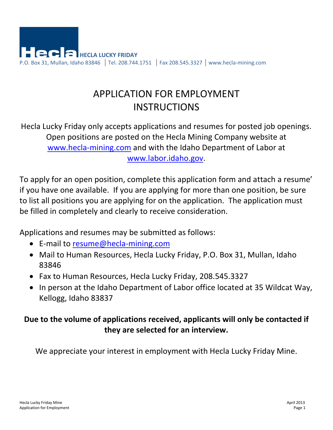

# APPLICATION FOR EMPLOYMENT **INSTRUCTIONS**

Hecla Lucky Friday only accepts applications and resumes for posted job openings. Open positions are posted on the Hecla Mining Company website at www.hecla-mining.com and with the Idaho Department of Labor at www.labor.idaho.gov.

To apply for an open position, complete this application form and attach a resume' if you have one available. If you are applying for more than one position, be sure to list all positions you are applying for on the application. The application must be filled in completely and clearly to receive consideration.

Applications and resumes may be submitted as follows:

- E-mail to resume@hecla-mining.com
- Mail to Human Resources, Hecla Lucky Friday, P.O. Box 31, Mullan, Idaho 83846
- Fax to Human Resources, Hecla Lucky Friday, 208.545.3327
- In person at the Idaho Department of Labor office located at 35 Wildcat Way, Kellogg, Idaho 83837

### **Due to the volume of applications received, applicants will only be contacted if they are selected for an interview.**

We appreciate your interest in employment with Hecla Lucky Friday Mine.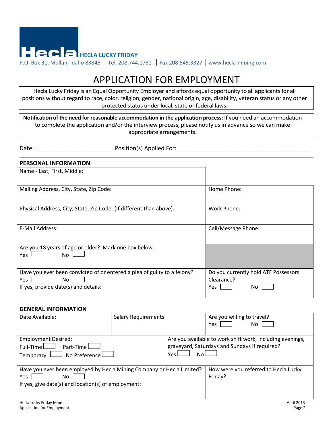

## APPLICATION FOR EMPLOYMENT

Hecla Lucky Friday is an Equal Opportunity Employer and affords equal opportunity to all applicants for all positions without regard to race, color, religion, gender, national origin, age, disability, veteran status or any other protected status under local, state or federal laws.

**Notification of the need for reasonable accommodation in the application process:** If you need an accommodation to complete the application and/or the interview process, please notify us in advance so we can make appropriate arrangements.

Date: The contraction of the position (s) Applied For:  $\Box$  and  $\Box$  and  $\Box$  and  $\Box$  and  $\Box$  and  $\Box$  and  $\Box$  and  $\Box$  and  $\Box$  and  $\Box$  and  $\Box$  and  $\Box$  and  $\Box$  and  $\Box$  and  $\Box$  and  $\Box$  and  $\Box$  and  $\Box$  and  $\Box$ 

#### **PERSONAL INFORMATION**

| Name - Last, First, Middle:                                                                                                    |                                                                   |
|--------------------------------------------------------------------------------------------------------------------------------|-------------------------------------------------------------------|
| Mailing Address, City, State, Zip Code:                                                                                        | Home Phone:                                                       |
| Physical Address, City, State, Zip Code: (If different than above).                                                            | Work Phone:                                                       |
| E-Mail Address:                                                                                                                | Cell/Message Phone:                                               |
| Are you 18 years of age or older? Mark one box below.<br>Yes<br>No                                                             |                                                                   |
| Have you ever been convicted of or entered a plea of guilty to a felony?<br>Yes<br>No.<br>If yes, provide date(s) and details: | Do you currently hold ATF Possessors<br>Clearance?<br>Yes.<br>No. |

#### **GENERAL INFORMATION**

| Date Available:                                                                                                                                                                                                                     | <b>Salary Requirements:</b> |  | Are you willing to travel?<br>Yes<br>No.                                                                   |  |
|-------------------------------------------------------------------------------------------------------------------------------------------------------------------------------------------------------------------------------------|-----------------------------|--|------------------------------------------------------------------------------------------------------------|--|
| <b>Employment Desired:</b><br>Part-Time $\Box$<br>$Full-Time$<br>$\mathrel{\mathop{\rule{.15pt}{0.05em}}\nolimits}$ No Preference $\mathrel{\mathop{\rule{.15pt}{0.05em}\hspace{.15em}\rule{.15pt}{0.05em}}\nolimits}$<br>Temporary | Yes l<br>N٥                 |  | Are you available to work shift work, including evenings,<br>graveyard, Saturdays and Sundays if required? |  |
| Have you ever been employed by Hecla Mining Company or Hecla Limited?<br>Yes<br>No.<br>If yes, give date(s) and location(s) of employment:                                                                                          |                             |  | How were you referred to Hecla Lucky<br>Friday?                                                            |  |
| Hecla Lucky Friday Mine                                                                                                                                                                                                             |                             |  | <b>April 2013</b>                                                                                          |  |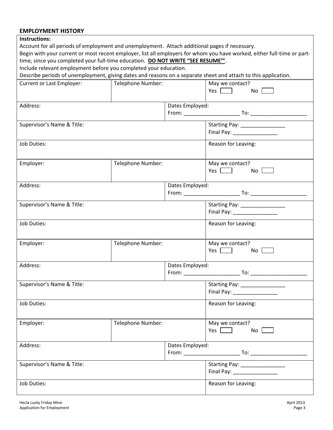#### **EMPLOYMENT HISTORY**

| <b>INSTRUCTIONS:</b>                                                                                                    |                   |                    |                                  |  |  |  |
|-------------------------------------------------------------------------------------------------------------------------|-------------------|--------------------|----------------------------------|--|--|--|
| Account for all periods of employment and unemployment. Attach additional pages if necessary.                           |                   |                    |                                  |  |  |  |
| Begin with your current or most recent employer, list all employers for whom you have worked, either full-time or part- |                   |                    |                                  |  |  |  |
| time, since you completed your full-time education. DO NOT WRITE "SEE RESUME".                                          |                   |                    |                                  |  |  |  |
| Include relevant employment before you completed your education.                                                        |                   |                    |                                  |  |  |  |
| Describe periods of unemployment, giving dates and reasons on a separate sheet and attach to this application.          |                   |                    |                                  |  |  |  |
| <b>Current or Last Employer:</b>                                                                                        | Telephone Number: |                    | May we contact?                  |  |  |  |
|                                                                                                                         |                   |                    | Yes $\Box$<br>No                 |  |  |  |
|                                                                                                                         |                   |                    |                                  |  |  |  |
| Address:                                                                                                                |                   | Dates Employed:    |                                  |  |  |  |
|                                                                                                                         |                   |                    |                                  |  |  |  |
|                                                                                                                         |                   |                    |                                  |  |  |  |
| Supervisor's Name & Title:                                                                                              |                   |                    | Starting Pay: _________________  |  |  |  |
|                                                                                                                         |                   |                    | Final Pay: ___________________   |  |  |  |
| Job Duties:                                                                                                             |                   |                    | Reason for Leaving:              |  |  |  |
|                                                                                                                         |                   |                    |                                  |  |  |  |
|                                                                                                                         |                   |                    |                                  |  |  |  |
| Employer:                                                                                                               | Telephone Number: |                    | May we contact?                  |  |  |  |
|                                                                                                                         |                   |                    | $Yes$ $\Box$<br>No               |  |  |  |
|                                                                                                                         |                   |                    |                                  |  |  |  |
| Address:                                                                                                                |                   | Dates Employed:    |                                  |  |  |  |
|                                                                                                                         |                   |                    |                                  |  |  |  |
| Supervisor's Name & Title:                                                                                              |                   |                    | Starting Pay: ________________   |  |  |  |
|                                                                                                                         |                   |                    | Final Pay: ___________________   |  |  |  |
|                                                                                                                         |                   |                    |                                  |  |  |  |
| Job Duties:                                                                                                             |                   |                    | Reason for Leaving:              |  |  |  |
|                                                                                                                         |                   |                    |                                  |  |  |  |
|                                                                                                                         |                   |                    |                                  |  |  |  |
| Employer:                                                                                                               | Telephone Number: |                    | May we contact?                  |  |  |  |
|                                                                                                                         |                   |                    | Yes $\Box$<br>$No$ $\Box$        |  |  |  |
|                                                                                                                         |                   |                    |                                  |  |  |  |
| Address:                                                                                                                |                   | Dates Employed:    |                                  |  |  |  |
|                                                                                                                         |                   |                    |                                  |  |  |  |
| Supervisor's Name & Title:                                                                                              |                   | Starting Pay: 1997 |                                  |  |  |  |
|                                                                                                                         |                   |                    |                                  |  |  |  |
|                                                                                                                         |                   |                    |                                  |  |  |  |
| Job Duties:                                                                                                             |                   |                    | Reason for Leaving:              |  |  |  |
|                                                                                                                         |                   |                    |                                  |  |  |  |
| Employer:                                                                                                               | Telephone Number: |                    | May we contact?                  |  |  |  |
|                                                                                                                         |                   |                    | Yes $\Box$<br>No                 |  |  |  |
|                                                                                                                         |                   |                    |                                  |  |  |  |
| Address:                                                                                                                |                   | Dates Employed:    |                                  |  |  |  |
|                                                                                                                         |                   |                    |                                  |  |  |  |
|                                                                                                                         |                   |                    |                                  |  |  |  |
| Supervisor's Name & Title:                                                                                              |                   |                    | Starting Pay: __________________ |  |  |  |
|                                                                                                                         |                   |                    | Final Pay: 1997                  |  |  |  |
| Job Duties:                                                                                                             |                   |                    | Reason for Leaving:              |  |  |  |
|                                                                                                                         |                   |                    |                                  |  |  |  |